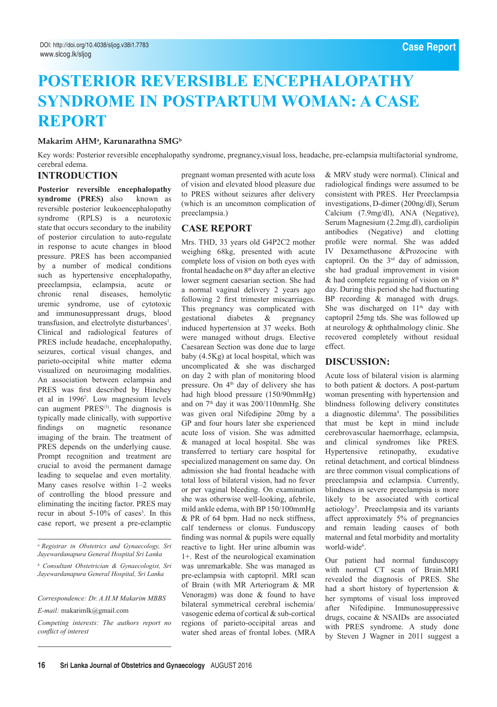# **POSTERIOR REVERSIBLE ENCEPHALOPATHY SYNDROME IN POSTPARTUM WOMAN: A CASE REPORT**

 $\mathbf{M}$ akarim AHMª, Karunarathna SMG<sup>b</sup>

Key words: Posterior reversible encephalopathy syndrome, pregnancy,visual loss, headache, pre-eclampsia multifactorial syndrome, cerebral edema.

## **Introduction**

**Posterior reversible encephalopathy syndrome (PRES)** also known as reversible posterior leukoencephalopathy syndrome (RPLS) is a neurotoxic state that occurs secondary to the inability of posterior circulation to auto-regulate in response to acute changes in blood pressure. PRES has been accompanied by a number of medical conditions such as hypertensive encephalopathy, preeclampsia, eclampsia, acute or chronic renal diseases, hemolytic uremic syndrome, use of cytotoxic and immunosuppressant drugs, blood transfusion, and electrolyte disturbances<sup>1</sup>. Clinical and radiological features of PRES include headache, encephalopathy, seizures, cortical visual changes, and parieto-occipital white matter edema visualized on neuroimaging modalities. An association between eclampsia and PRES was first described by Hinchey et al in 19962 . Low magnesium levels can augment PRES<sup>(3)</sup>. The diagnosis is typically made clinically, with supportive findings on magnetic resonance imaging of the brain. The treatment of PRES depends on the underlying cause. Prompt recognition and treatment are crucial to avoid the permanent damage leading to sequelae and even mortality. Many cases resolve within 1–2 weeks of controlling the blood pressure and eliminating the inciting factor. PRES may recur in about  $5-10\%$  of cases<sup>3</sup>. In this case report, we present a pre-eclamptic

pregnant woman presented with acute loss of vision and elevated blood pleasure due to PRES without seizures after delivery (which is an uncommon complication of preeclampsia.)

#### **Case report**

Mrs. THD, 33 years old G4P2C2 mother weighing 68kg, presented with acute complete loss of vision on both eyes with frontal headache on 8th day after an elective lower segment caesarian section. She had a normal vaginal delivery 2 years ago following 2 first trimester miscarriages. This pregnancy was complicated with gestational diabetes & pregnancy induced hypertension at 37 weeks. Both were managed without drugs. Elective Caesarean Section was done due to large baby (4.5Kg) at local hospital, which was uncomplicated & she was discharged on day 2 with plan of monitoring blood pressure. On 4<sup>th</sup> day of delivery she has had high blood pressure (150/90mmHg) and on  $7<sup>th</sup>$  day it was 200/110mmHg. She was given oral Nifedipine 20mg by a GP and four hours later she experienced acute loss of vision. She was admitted & managed at local hospital. She was transferred to tertiary care hospital for specialized management on same day. On admission she had frontal headache with total loss of bilateral vision, had no fever or per vaginal bleeding. On examination she was otherwise well-looking, afebrile, mild ankle edema, with BP 150/100mmHg & PR of 64 bpm. Had no neck stiffness, calf tenderness or clonus. Funduscopy finding was normal & pupils were equally reactive to light. Her urine albumin was 1+. Rest of the neurological examination was unremarkable. She was managed as pre-eclampsia with captopril. MRI scan of Brain (with MR Arteriogram & MR Venoragm) was done & found to have bilateral symmetrical cerebral ischemia/ vasogenic edema of cortical & sub-cortical regions of parieto-occipital areas and water shed areas of frontal lobes. (MRA

& MRV study were normal). Clinical and radiological findings were assumed to be consistent with PRES. Her Preeclampsia investigations, D-dimer (200ng/dl), Serum Calcium (7.9mg/dl), ANA (Negative), Serum Magnesium (2.2mg.dl), cardiolipin antibodies (Negative) and clotting profile were normal. She was added IV Dexamethasone &Prozocine with captopril. On the 3rd day of admission, she had gradual improvement in vision  $&$  had complete regaining of vision on  $8<sup>th</sup>$ day. During this period she had fluctuating BP recording & managed with drugs. She was discharged on 11<sup>th</sup> day with captopril 25mg tds. She was followed up at neurology & ophthalmology clinic. She recovered completely without residual effect.

## **Discussion:**

Acute loss of bilateral vision is alarming to both patient & doctors. A post-partum woman presenting with hypertension and blindness following delivery constitutes a diagnostic dilemma<sup>4</sup>. The possibilities that must be kept in mind include cerebrovascular haemorrhage, eclampsia, and clinical syndromes like PRES. Hypertensive retinopathy, exudative retinal detachment, and cortical blindness are three common visual complications of preeclampsia and eclampsia. Currently, blindness in severe preeclampsia is more likely to be associated with cortical aetiology<sup>5</sup>. Preeclampsia and its variants affect approximately 5% of pregnancies and remain leading causes of both maternal and fetal morbidity and mortality world-wide<sup>6</sup>.

Our patient had normal funduscopy with normal CT scan of Brain.MRI revealed the diagnosis of PRES. She had a short history of hypertension & her symptoms of visual loss improved after Nifedipine. Immunosuppressive drugs, cocaine & NSAIDs are associated with PRES syndrome. A study done by Steven J Wagner in 2011 suggest a

*a Registrar in Obstetrics and Gynaecology, Sri Jayewardanapura General Hospital Sri Lanka*

*b Consultant Obstetrician & Gynaecologist, Sri Jayewardanapura General Hospital, Sri Lanka*

*Correspondence: Dr. A.H.M Makarim MBBS*

*E-mail:* makarimlk@gmail.com

*Competing interests: The authors report no conflict of interest*